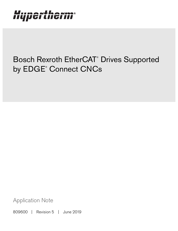# Hypertherm®

## Bosch Rexroth EtherCAT® Drives Supported by EDGE® Connect CNCs

Application Note

809600 | Revision 5 | June 2019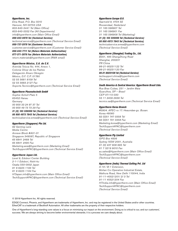### Hypertherm, Inc.

Etna Road, P.O. Box 5010 Hanover, NH 03755 USA 603-643-3441 Tel (Main Office) 603-643-5352 Fax (All Departments) info@hypertherm.com (Main Office Email)

800-643-9878 Tel (Technical Service) technical.service@hypertherm.com (Technical Service Email) 800-737-2978 Tel (Customer Service)

customer.service@hypertherm.com (Customer Service Email)

866-643-7711 Tel (Return Materials Authorization) 877-371-2876 Fax (Return Materials Authorization) return.materials@hypertherm.com (RMA email)

### Hypertherm México, S.A. de C.V.

Avenida Toluca No. 444, Anexo 1, Colonia Olivar de los Padres Delegación Álvaro Obregón México, D.F. C.P. 01780 52 55 5681 8109 Tel 52 55 5683 2127 Fax Soporte.Tecnico@hypertherm.com (Technical Service Email)

#### Hypertherm Plasmatechnik GmbH

Sophie-Scholl-Platz 5 63452 Hanau **Germany** 00 800 33 24 97 37 Tel 00 800 49 73 73 29 Fax

### 31 (0) 165 596900 Tel (Technical Service)

00 800 4973 7843 Tel (Technical Service) technicalservice.emea@hypertherm.com (Technical Service Email)

### Hypertherm (Singapore) Pte Ltd.

82 Genting Lane Media Centre Annexe Block #A01-01 Singapore 349567, Republic of Singapore 65 6841 2489 Tel 65 6841 2490 Fax Marketing.asia@hypertherm.com (Marketing Email) TechSupportAPAC@hypertherm.com (Technical Service Email)

#### Hypertherm Japan Ltd.

Level 9, Edobori Center Building 2-1-1 Edobori, Nishi-ku Osaka 550-0002 Japan 81 6 6225 1183 Tel 81 6 6225 1184 Fax HTJapan.info@hypertherm.com (Main Office Email) TechSupportAPAC@hypertherm.com (Technical Service Email)

### Hypertherm Europe B.V.

Vaartveld 9, 4704 SE Roosendaal, Nederland 31 165 596907 Tel 31 165 596901 Fax 31 165 596908 Tel (Marketing) 31 (0) 165 596900 Tel (Technical Service) 00 800 4973 7843 Tel (Technical Service)

technicalservice.emea@hypertherm.com (Technical Service Email)

### Hypertherm (Shanghai) Trading Co., Ltd.

B301, 495 ShangZhong Road Shanghai, 200231 PR China 86-21-80231122 Tel 86-21-80231120 Fax

86-21-80231128 Tel (Technical Service) techsupport.china@hypertherm.com (Technical Service Email)

### South America & Central America: Hypertherm Brasil Ltda.

Rua Bras Cubas, 231 – Jardim Maia Guarulhos, SP – Brasil CEP 07115-030 55 11 2409 2636 Tel tecnico.sa@hypertherm.com (Technical Service Email)

#### Hypertherm Korea Branch

#3904. APEC-ro 17. Heaundae-gu. Busan. Korea 48060 82 (0)51 747 0358 Tel 82 (0)51 701 0358 Fax Marketing.korea@hypertherm.com (Marketing Email) TechSupportAPAC@hypertherm.com (Technical Service Email)

#### Hypertherm Pty Limited

GPO Box 4836 Sydney NSW 2001, Australia 61 (0) 437 606 995 Tel 61 7 3219 9010 Fax au.sales@Hypertherm.com (Main Office Email) TechSupportAPAC@hypertherm.com (Technical Service Email)

### Hypertherm (India) Thermal Cutting Pvt. Ltd

A-18 / B-1 Extension, Mohan Co-Operative Industrial Estate, Mathura Road, New Delhi 110044, India 91-11-40521201/ 2/ 3 Tel 91-11 40521204 Fax HTIndia.info@hypertherm.com (Main Office Email) TechSupportAPAC@hypertherm.com (Technical Service Email)

© 2019 Hypertherm Inc. All rights reserved.

EDGE Connect, Phoenix, and Hypertherm are trademarks of Hypertherm, Inc. and may be registered in the United States and/or other countries. EtherCAT is a trademark of Beckhoff Automation. All other trademarks are the property of their respective holders.

One of Hypertherm's long-standing core values is a focus on minimizing our impact on the environment. Doing so is critical to our, and our customers', success. We are always striving to become better environmental stewards; it is a process we care deeply about.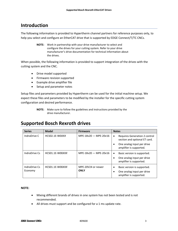### **Introduction**

The following information is provided to Hypertherm channel partners for reference purposes only, to help you select and configure an EtherCAT drive that is supported by EDGE Connect/T/TC CNCs.

> **NOTE:** Work in partnership with your drive manufacturer to select and configure the drives for your cutting system. Refer to your drive manufacturer's drive documentation for technical information about the drives.

When possible, the following information is provided to support integration of the drives with the cutting system and the CNC.

- Drive model supported
- Firmware revision supported
- Example drive amplifier file
- Setup and parameter notes

Setup files and parameters provided by Hypertherm can be used for the initial machine setup. We expect these files and parameters to be modified by the installer for the specific cutting system configuration and desired performance.

### **Supported Bosch Rexroth drives**

| <b>Series</b> | <b>Model</b>    | <b>Firmware</b>       | <b>Notes</b>                                                                |
|---------------|-----------------|-----------------------|-----------------------------------------------------------------------------|
| IndraDrive C  | HCS02.1E-W0XXX  | MPE-18y20 - MPE-20y16 | Requires Generation 2 control<br>$\bullet$<br>section and optional ET card. |
|               |                 |                       | One analog input per drive<br>amplifier is supported.                       |
| IndraDrive Cs | HCS01.1E-W00XXX | MPE-18y20 - MPE-20y16 | Basic version is supported.<br>$\bullet$                                    |
|               |                 |                       | One analog input per drive<br>amplifier is supported.                       |
| IndraDrive Cs | HCS01.1E-W00XXX | MPE-20V24 or newer    | Basic version is supported.<br>٠                                            |
| Economy       |                 | <b>ONLY</b>           | One analog input per drive<br>٠<br>amplifier is supported.                  |

### **NOTE:**

- Mixing different brands of drives in one system has not been tested and is not recommended.
- All drives must support and be configured for a 1 ms update rate.

**NOTE:** Make sure to follow the guidelines and instructions provided by the drive manufacturer.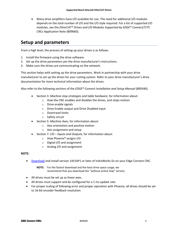Many drive amplifiers have I/O available for use. The need for additional I/O modules depends on the total number of I/O and the I/O style required. For a list of supported I/O modules, see the *EtherCAT® Drives and I/O Modules Supported by EDGE® Connect/T/TC CNCs* Application Note (809660).

### **Setup and parameters**

From a high level, the process of setting up your drives is as follows.

- 1. Install the firmware using the drive software.
- 2. Set up the drive parameters per the drive manufacturer's instructions.
- 3. Make sure the drives are communicating on the network.

This section helps with setting up the drive parameters. Work in partnership with your drive manufacturer to set up the drives for your cutting system. Refer to your drive manufacturer's drive documentation for more technical information about the drives.

Also refer to the following sections of the *EDGE® Connect Installation and Setup Manual* (809340).

- Section 3: *Machine stop strategies and table hardware*, for information about:
	- o How the CNC enables and disables the drives, and stops motion
	- o Drive enable signals
	- o Drive Enable output and Drive Disabled input
	- o Overtravel limits
	- o Safety circuit
- Section 5: *Machine Axes*, for information about:
	- o Axis orientation and positive motion
	- o Axis assignment and setup
- Section 7: *I/O Inputs and Outputs*, for information about:
	- o How Phoenix® assigns I/O
	- o Digital I/O and assignment
	- o Analog I/O and assignment

### **NOTE:**

Download and install version 14V16P1 or later of IndraWorks Ds on your Edge Connect CNC.

**NOTE:** For the fastest download and the least drive space usage, we recommend that you download the "without online help" version.

- All drives must be set up as linear axes.
- All drives must support and be configured for a 1 ms update rate.
- For proper scaling of following error and proper operation with Phoenix, all drives should be set to 16‐bit encoder feedback resolution.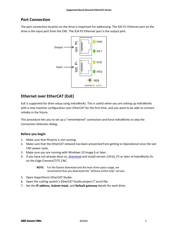### **Port Connection**

The port connection location on the drive is important for addressing. The X25 P1 Ethernet port on the drive is the input port from the CNC. The X24 P2 Ethernet port is the output port.



### **Ethernet over EtherCAT (EoE)**

EoE is supported for drive setup using IndraWorks. This is useful when you are setting up IndraWorks with a new machine configuration over EtherCAT for the first time, and you want to be able to connect reliably in the future.

This procedure lets you to set up a "remembered" connection and force IndraWorks to skip the Connection Selection dialog.

### **Before you begin**

- 1. Make sure that Phoenix is not running.
- 2. Make sure that the EtherCAT network has been prevented from getting to Operational since the last CNC power cycle.
- 3. Make sure you are running with Windows 10 Image 6 or later.
- 4. If you have not already done so, download and install version 13V16\_P2 or later of IndraWorks Ds on the Edge Connect/T/TC CNC.

**NOTE:** For the fastest download and the least drive space usage, we recommend that you download the "without online help" version.

- 5. Open Hypertherm EtherCAT Studio.
- 6. Open the cutting system's EtherCAT Studio project (\*.ecsn) file.
- 7. Set the **IP address**, **Subnet mask**, and **Default gateway** details for each drive.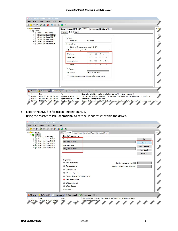| Slave 2 (IndraDrive MPB18)<br>Ėŀ<br>. 间<br>EoE<br>Slave 3 (IndraDrive MPB18)<br>÷ŀ<br>- 间<br>Port type<br>间<br>Slave 4 (IndraDrive MPB18)<br>Ėŀ<br><b>●</b> IP port<br>Switch port<br>Slave 5 (IndraDrive MPB18)<br>Slave 6 (IndraDrive MPB18)<br>≑ …<br>间<br>IP port settings<br>O Obtain an IP address automatically (DHCP)<br>Use the following IP address:<br>IP address:<br>$192$ $168$ $0$ $168$<br>$\overline{1}$<br>255 . 255 . 255 .<br>$\mathbf{0}$<br>Subnet mask:<br>192 . 168 . 0 . 254<br>Default gateway:<br>$0 \t 0 \t 0 \t 0 \t 0$<br><b>DNS</b> server:<br>DNS name:<br>F5-DA-2C-89-09-E7<br>MAC address:<br>Device supports time stamping using the DC time stamp | EoE192cart<br>E-M<br>白 <b>图</b> Master 1<br>Slave 1 (HTA OPPanel)<br>由一间 | Mailbox<br>FMMU/SM<br>Variables<br>Init commands<br><b>Distributed Clock</b><br>Slave<br>Settings EoE<br>SoF |  |
|--------------------------------------------------------------------------------------------------------------------------------------------------------------------------------------------------------------------------------------------------------------------------------------------------------------------------------------------------------------------------------------------------------------------------------------------------------------------------------------------------------------------------------------------------------------------------------------------------------------------------------------------------------------------------------------|--------------------------------------------------------------------------|--------------------------------------------------------------------------------------------------------------|--|
|                                                                                                                                                                                                                                                                                                                                                                                                                                                                                                                                                                                                                                                                                      |                                                                          |                                                                                                              |  |
|                                                                                                                                                                                                                                                                                                                                                                                                                                                                                                                                                                                                                                                                                      |                                                                          |                                                                                                              |  |
|                                                                                                                                                                                                                                                                                                                                                                                                                                                                                                                                                                                                                                                                                      |                                                                          |                                                                                                              |  |
| $\left  \cdot \right $ 0 Warning(s)         3 Message(s)  <br>Ha Categorized   Acknowledge   Clear<br>$\bigwedge$ 0 Error(s)                                                                                                                                                                                                                                                                                                                                                                                                                                                                                                                                                         |                                                                          |                                                                                                              |  |

- 8. Export the XML file for use at Phoenix startup.
- 9. Bring the Master to **Pre‐Operational** to set the IP addresses within the drives.

| E Fig. EoE192cart<br>Master 1                                                                            | State<br>Process Image   Statistics   Cyclic  <br><b>Distributed Clocks</b><br>Master                                                                                      |                  |
|----------------------------------------------------------------------------------------------------------|----------------------------------------------------------------------------------------------------------------------------------------------------------------------------|------------------|
| 画 n Slave 1 (HTA OPPanel)                                                                                | EtherCAT state machine                                                                                                                                                     |                  |
| - n Slave 2 (IndraDrive MPB18)<br>Ėŀ<br>Slave 3 (IndraDrive MPB18)<br>Ėŀ                                 | Current state                                                                                                                                                              | Init             |
| Slave 4 (IndraDrive MPB18)<br>Ėŀ                                                                         | PRE OPERATIONAL                                                                                                                                                            | Pre-Operational  |
| - n Slave 5 (IndraDrive MPB18)<br>Ėŀ<br>主 • 1 Slave 6 (IndraDrive MPB18)                                 | Requested state                                                                                                                                                            | Safe-Operational |
|                                                                                                          | PRE OPERATIONAL                                                                                                                                                            | Operational      |
|                                                                                                          |                                                                                                                                                                            | Bootstrap        |
|                                                                                                          | Connection lost<br>٥<br>Wrong configuration<br>Slave to slave communication timeout<br><b>O</b> Default input values<br>Watchdog timeout<br>Wrong Outputs<br>Network state |                  |
| 1 Error(s)   $\left  \cdot \right $ 4 Warning(s)  <br>$\left\  \left( i \right)$ 6 Message(s) $\right\ $ | E Categorized V Acknowledge   Clear                                                                                                                                        |                  |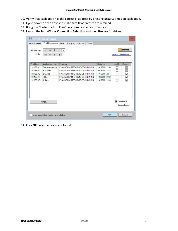- 10. Verify that each drive has the correct IP address by pressing **Enter** 3 times on each drive.
- 11. Cycle power on the drives to make sure IP addresses are retained.
- 12. Bring the Master back to **Pre‐Operational** as per step 9 above.
- 13. Launch the IndraWorks **Connection Selection** and then **Browse** for drives.

| Network search     | IP address search      | Serial<br>Third-party control unit<br>Oflline |              |                 |                     |
|--------------------|------------------------|-----------------------------------------------|--------------|-----------------|---------------------|
| <b>Browse</b> from | 192, 168, 0, 1         | $\vee$                                        |              |                 | <b>Browse</b>       |
| $\sqrt{10}$        | 192 168 0 5 V          |                                               |              |                 | Network Connections |
| IP address         | Application type       | Firmware                                      | Serial No.   | <b>Identify</b> | Connect             |
| 192.168.0.1        | <b>Transverse Axis</b> | FWA-INDRV*-MPB-18V10-D5-1-NNN-NN              | HCS011-12250 |                 | ✔                   |
| 192.168.0.2        | Rail Axis              | FWA-INDRV*-MPB-18V10-D5-1-NNN-NN              | HCS011-12246 |                 | $\checkmark$        |
| 192.168.0.3        | DG Axis                | FWA-INDRV*-MPB-18V10-D5-1-NNN-NN              | HCS011-12261 |                 | $\checkmark$        |
| 192 168 0 4        | <b>THC</b>             | FWA-INDRV*-MPB-18V10-D5-1-NNN-NN              | HCS011-12262 |                 | $\checkmark$        |
| 192.168.0.5        | <b>X Axis</b>          | FWA-INDRV*-MPB-18V10-D5-1-NNN-NN              | HCS011-12249 |                 | ✓                   |
|                    | Settings               |                                               |              | ◡               | Connect all         |
|                    |                        |                                               |              |                 | Connect none        |

14. Click **OK** once the drives are found.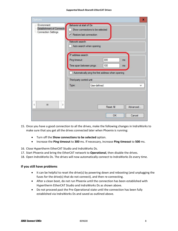| Options                                                                |                                                                      | ×                                                                           |
|------------------------------------------------------------------------|----------------------------------------------------------------------|-----------------------------------------------------------------------------|
| - Environment<br>--- Establishment of Connectio<br>Connection Settings | Behavior at start of Ds<br>Restore last connection<br>Network search | Show connections to be selected<br>Auto search when opening                 |
|                                                                        | IP address search<br>Ping timeout:<br>Time span between pings:       | 300<br>ms<br>100<br>ms<br>Automatically ping the first address when opening |
|                                                                        | Third-party control unit                                             |                                                                             |
|                                                                        | Type:                                                                | User-defined<br>v                                                           |
| $\overline{\phantom{a}}$<br>Ш<br>$\rightarrow$                         |                                                                      | Reset All<br>Advanced                                                       |
|                                                                        |                                                                      | OK<br>Cancel                                                                |

- 15. Once you have a good connection to all the drives, make the following changes in IndraWorks to make sure that you get all the drives connected later when Phoenix is running:
	- Turn off the **Show connections to be selected** option.
	- Increase the **Ping timeout** to **300** ms. If necessary, increase **Ping timeout** to **500** ms.

16. Close Hypertherm EtherCAT Studio and IndraWorks Ds.

- 17. Start Phoenix and bring the EtherCAT network to **Operational**, then disable the drives.
- 18. Open IndraWorks Ds. The drives will now automatically connect to IndraWorks Ds every time.

### **If you still have problems**

- It can be helpful to reset the drive(s) by powering down and rebooting (and unplugging the fuses for the drive(s) that do not connect), and then re‐connecting.
- After a clean boot, do not run Phoenix until the connection has been established with Hypertherm EtherCAT Studio and IndraWorks Ds as shown above.
- Do not proceed past the Pre-Operational state until the connection has been fully established via IndraWorks Ds and saved as outlined above.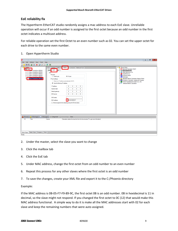### **EoE reliability fix**

The Hypertherm EtherCAT studio randomly assigns a mac address to each EoE slave. Unreliable operation will occur if an odd number is assigned to the first octet because an odd number in the first octet indicates a multicast address.

For reliable operation set the first Octet to an even number such as 02. You can set the upper octet for each drive to the same even number.

### 1. Open Hypertherm Studio

| Untitled* - Hypertherm EtherCAT Studio                                                                                                                                                                                                                                                                                                                                                                                                                                                                                                                                                                                                                                                                                                                                                                               |                                                                                                                                                                                                                                                                                                                                                                                                        | - | σ<br>$\mathbf{x}$ |
|----------------------------------------------------------------------------------------------------------------------------------------------------------------------------------------------------------------------------------------------------------------------------------------------------------------------------------------------------------------------------------------------------------------------------------------------------------------------------------------------------------------------------------------------------------------------------------------------------------------------------------------------------------------------------------------------------------------------------------------------------------------------------------------------------------------------|--------------------------------------------------------------------------------------------------------------------------------------------------------------------------------------------------------------------------------------------------------------------------------------------------------------------------------------------------------------------------------------------------------|---|-------------------|
| File Edit Actions View Tools Help                                                                                                                                                                                                                                                                                                                                                                                                                                                                                                                                                                                                                                                                                                                                                                                    |                                                                                                                                                                                                                                                                                                                                                                                                        |   |                   |
| 出出国国 *   @ ◎   △ 〓   蛋<br>n                                                                                                                                                                                                                                                                                                                                                                                                                                                                                                                                                                                                                                                                                                                                                                                          |                                                                                                                                                                                                                                                                                                                                                                                                        |   |                   |
| E-Pa Lintitled<br>Slave Variables FMMU/SN Mailbox nit commands Distributed Clock<br>Master 1<br>EoE<br>50E<br>Setting<br>$\bullet$<br><b>CALCO III Stave 1</b> (IndraDrive MPB18)<br>由一间 Slave 2 (IndraDrive MPB18)<br>EoE<br>由一间 Slave 3 (IndraDrive MPB18)<br>Port type<br>由 图 Slave 4 (IndraDrive MPB18)<br><sup>O</sup> IP port<br>○ Switch port<br><b>Cause 5 Andre Drive MPR181</b><br>Slave 6 (IndraDrive MPB18)<br>IP port settings<br>O Obtain an IP address automatically (DHCP)<br><b>O</b> Use the following IP address:<br>IP address:<br>$0 \t 0 \t 0 \t 0 \t 0$<br>$0 \t 0 \t 0 \t 0 \t 0 \t 0$<br>Subnet mask:<br>Default gateway:<br>0.0.0.0.0<br>$0 \t 0 \t 0 \t 0 \t 0$<br>DNS server:<br>DNS name:<br>C3 E5-94-3B-E0-07<br>MAC address:<br>Device supports time stamping using the DC time stamp | Slaves Library<br>El <b>Elion</b> Beckhoff Automation GmbH<br><b>E</b> Bosch Rexroth AG<br><b>E</b> Delta Electronics, Inc.<br>Hypertherm Inc.<br>ia R koenig-pa GmbH<br><b>E-BIR</b> Kollmorgen<br><b>El-8</b> Mitsubishi Electric Corporation Nagoya Works<br><b>E</b> Panasonic Corporation, Appliances Company<br>H. WAGO Kontakttechnik GmbH & Co. KG<br><b>Fig.</b> Yaskawa Electric Corporation |   |                   |
| 1 0 Warning(s) 1 0 Message(s)   E Categorized   Acknowledge   Clear<br>$\bigwedge$ 0 Error(s)                                                                                                                                                                                                                                                                                                                                                                                                                                                                                                                                                                                                                                                                                                                        |                                                                                                                                                                                                                                                                                                                                                                                                        |   |                   |
| ID<br>Time<br>Source                                                                                                                                                                                                                                                                                                                                                                                                                                                                                                                                                                                                                                                                                                                                                                                                 | Description (select the trace line from the list and press F1 to get more information)                                                                                                                                                                                                                                                                                                                 |   |                   |
|                                                                                                                                                                                                                                                                                                                                                                                                                                                                                                                                                                                                                                                                                                                                                                                                                      |                                                                                                                                                                                                                                                                                                                                                                                                        |   |                   |
| Master Output   Emergency   Watch<br><b>Studio Output</b>                                                                                                                                                                                                                                                                                                                                                                                                                                                                                                                                                                                                                                                                                                                                                            |                                                                                                                                                                                                                                                                                                                                                                                                        |   |                   |
| Ready                                                                                                                                                                                                                                                                                                                                                                                                                                                                                                                                                                                                                                                                                                                                                                                                                |                                                                                                                                                                                                                                                                                                                                                                                                        |   |                   |

- 2. Under the master, select the slave you want to change
- 3. Click the mailbox tab
- 4. Click the EoE tab
- 5. Under MAC address, change the first octet from an odd number to an even number
- 6. Repeat this process for any other slaves where the first octet is an odd number
- 7. To save the changes, create your XML file and export it to the C:/Phoenix directory

### Example:

If the MAC address is 0B‐05‐F7‐F9‐89‐9C, the first octet 0B is an odd number. 0B in hexidecimal is 11 in decimal, so the slave might not respond. If you changed the first octet to 0C (12) that would make this MAC address functional. A simple way to do it is make all the MAC addresses start with 02 for each slave and keep the remaining numbers that were auto assigned.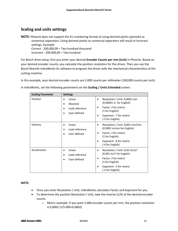### **Scaling and units settings**

**NOTE:** Phoenix does not support the EU numbering format of using decimal points (periods) as numerical separators. Using decimal points as numerical separators will result in incorrect settings. Example: Correct ‐ 200,000.00 = Two hundred thousand

Incorrect ‐ 200.000,00 = Two hundred

For Bosch drive setup, first you enter your desired **Encoder Counts per mm (inch)** in Phoenix. Based on your desired encoder counts, you calculate the position resolution for the drives. Then you use the Bosch Rexroth IndraWorks Ds software to program the drives with the mechanical characteristics of the cutting machine.

In this example, your desired encoder counts are 5.000 counts per millimeter (100,000 counts per inch).

In IndraWorks, set the following parameters on the **Scaling / Units Extended** screen:

| <b>Scaling Parameter</b> | <b>Settings</b>                                                        |                                                                                                                                                                                     |
|--------------------------|------------------------------------------------------------------------|-------------------------------------------------------------------------------------------------------------------------------------------------------------------------------------|
| Position                 | Linear<br>٠<br>Absolute<br>Load reference<br>$\bullet$<br>User-defined | Resolution / Unit: 0,0002 mm<br>(0.00001 in. for English)<br>Factor: 2 for metric<br>(1 for English)<br>Exponent: -7 for metric<br>(-5 for English)                                 |
| Velocity                 | Linear<br>$\bullet$<br>Load reference<br>$\bullet$<br>User-defined     | Resolution / Unit: 0,002 mm/min<br>(0.0001 in/min for English)<br>Factor: 2 for metric<br>(1 for English)<br>Exponent: -6 for metric<br>(-4 for English)                            |
| Acceleration             | Linear<br>$\bullet$<br>Load reference<br>$\bullet$<br>User-defined     | Resolution / Unit: 0,02 mm/s <sup>2</sup><br>$(0.001 \text{ in/s}^2 \text{ for English})$<br>Factor: 2 for metric<br>(1 for English)<br>Exponent: -5 for metric<br>(-3 for English) |

### **NOTE:**

- Once you enter Resolution / Unit, IndraWorks calculates Factor and Exponent for you.
- To determine the position Resolution / Unit, take the inverse (1/X) of the desired encoder counts.
	- o Metric example: If you want 5.000 encoder counts per mm, the position resolution is 0,0002 (1/5.000=0,0002)